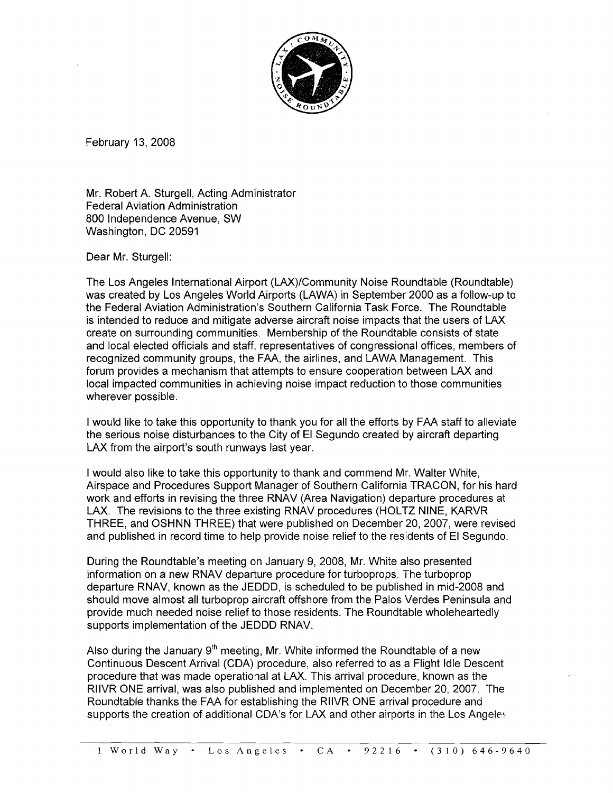

February 13, 2008

Mr. Robert A. Sturgell, Acting Administrator Federal Aviation Administration 800 Independence Avenue, SW Washington, DC 20591

Dear Mr. Sturgell:

The Los Angeles International Airport (LAX)/Community Noise Roundtable (Roundtable) was created by Los Angeles World Airports (LAWA) in September 2000 as a follow-up to the Federal Aviation Administration's Southern California Task Force. The Roundtable is intended to reduce and mitigate adverse aircraft noise impacts that the users of LAX create on surrounding communities. Membership of the Roundtable consists of state and local elected officials and staff, representatives of congressional offices, members of recognized community groups, the FAA, the airlines, and LAWA Management. This forum provides a mechanism that attempts to ensure cooperation between LAX and local impacted communities in achieving noise impact reduction to those communities wherever possible.

I would like to take this opportunity to thank you for all the efforts by FAA staff to alleviate the serious noise disturbances to the City of El Segundo created by aircraft departing LAX from the airport's south runways last year.

I would also like to take this opportunity to thank and commend Mr. Walter White, Airspace and Procedures Support Manager of Southern California TRACON, for his hard work and efforts in revising the three RNAV (Area Navigation) departure procedures at LAX. The revisions to the three existing RNAV procedures (HOLTZ NINE, KARVR THREE, and OSHNN THREE) that were published on December 20,2007, were revised and published in record time to help provide noise relief to the residents of El Segundo.

During the Roundtable's meeting on January 9, 2008, Mr. White also presented information on a new RNAV departure procedure for turboprops. The turboprop departure RNAV, known as the JEDDD, is scheduled to be published in mid-2008 and should move almost all turboprop aircraft offshore from the Palos Verdes Peninsula and provide much needed noise relief to those residents. The Roundtable wholeheartedly supports implementation of the JEDDD RNAV.

Also during the January  $9<sup>th</sup>$  meeting, Mr. White informed the Roundtable of a new Continuous Descent Arrival (CDA) procedure, also referred to as a Flight Idle Descent procedure that was made operational at LAX. This arrival procedure, known as the RllVR OhlE arrival, was also published and implemented on December 20, 2007. The Roundtable thanks the FAA for establishing the RIIVR ONE arrival procedure and supports the creation of additional CDA's for LAX and other airports in the Los Angeles